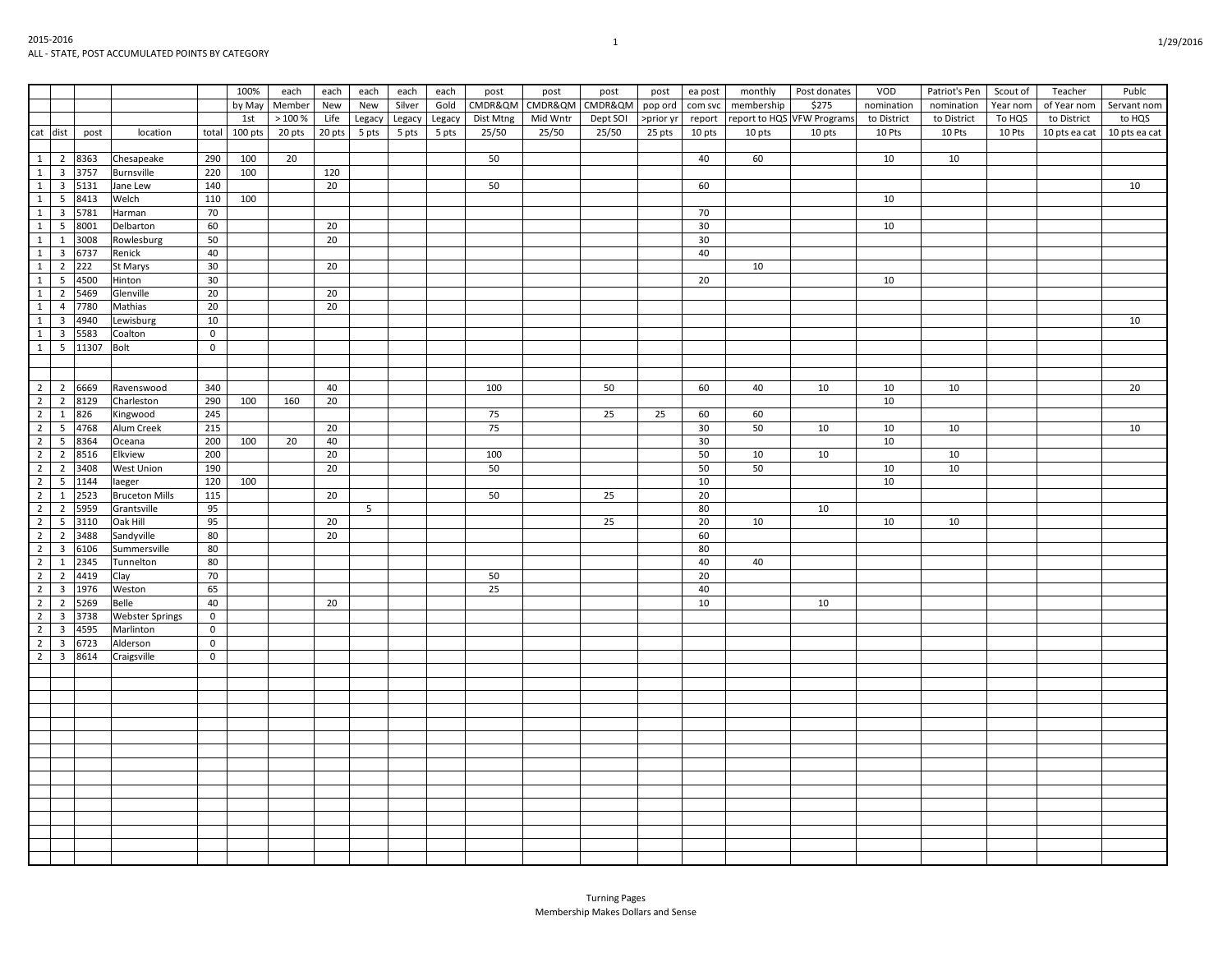Turning Pages Membership Makes Dollars and Sense